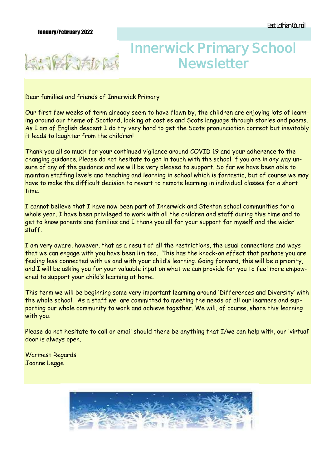

Dear families and friends of Innerwick Primary

Our first few weeks of term already seem to have flown by, the children are enjoying lots of learning around our theme of Scotland, looking at castles and Scots language through stories and poems. As I am of English descent I do try very hard to get the Scots pronunciation correct but inevitably it leads to laughter from the children!

**Innerwick Primary School** 

**Newsletter** 

Thank you all so much for your continued vigilance around COVID 19 and your adherence to the changing guidance. Please do not hesitate to get in touch with the school if you are in any way unsure of any of the guidance and we will be very pleased to support. So far we have been able to maintain staffing levels and teaching and learning in school which is fantastic, but of course we may have to make the difficult decision to revert to remote learning in individual classes for a short time.

I cannot believe that I have now been part of Innerwick and Stenton school communities for a whole year. I have been privileged to work with all the children and staff during this time and to get to know parents and families and I thank you all for your support for myself and the wider staff.

I am very aware, however, that as a result of all the restrictions, the usual connections and ways that we can engage with you have been limited. This has the knock-on effect that perhaps you are feeling less connected with us and with your child's learning. Going forward, this will be a priority, and I will be asking you for your valuable input on what we can provide for you to feel more empowered to support your child's learning at home.

This term we will be beginning some very important learning around 'Differences and Diversity' with the whole school. As a staff we are committed to meeting the needs of all our learners and supporting our whole community to work and achieve together. We will, of course, share this learning with you.

Please do not hesitate to call or email should there be anything that I/we can help with, our 'virtual' door is always open.

Warmest Regards Joanne Legge